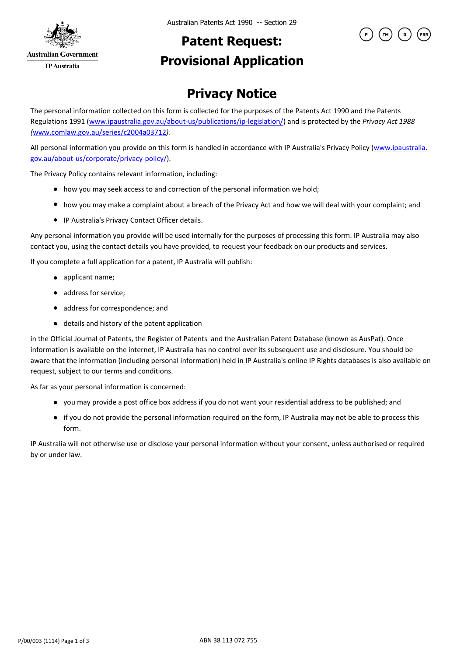

### **Patent Request: Provisional Application**



#### **Privacy Notice**

The personal information collected on this form is collected for the purposes of the Patents Act 1990 and the Patents Regulations 1991 (www.ipaustralia.gov.au/about-us/publications/ip-legislation/) and is protected by the *Privacy Act 1988 (*www.comlaw.gov.au/series/c2004a03712*).*

All personal information you provide on this form is handled in accordance with IP Australia's Privacy Policy (www.ipaustralia. gov.au/about-us/corporate/privacy-policy/).

The Privacy Policy contains relevant information, including:

- how you may seek access to and correction of the personal information we hold;
- how you may make a complaint about a breach of the Privacy Act and how we will deal with your complaint; and
- IP Australia's Privacy Contact Officer details.

Any personal information you provide will be used internally for the purposes of processing this form. IP Australia may also contact you, using the contact details you have provided, to request your feedback on our products and services.

If you complete a full application for a patent, IP Australia will publish:

- applicant name;
- address for service;
- address for correspondence; and
- details and history of the patent application

in the Official Journal of Patents, the Register of Patents and the Australian Patent Database (known as AusPat). Once information is available on the internet, IP Australia has no control over its subsequent use and disclosure. You should be aware that the information (including personal information) held in IP Australia's online IP Rights databases is also available on request, subject to our terms and conditions.

As far as your personal information is concerned:

- you may provide a post office box address if you do not want your residential address to be published; and
- if you do not provide the personal information required on the form, IP Australia may not be able to process this form.

IP Australia will not otherwise use or disclose your personal information without your consent, unless authorised or required by or under law.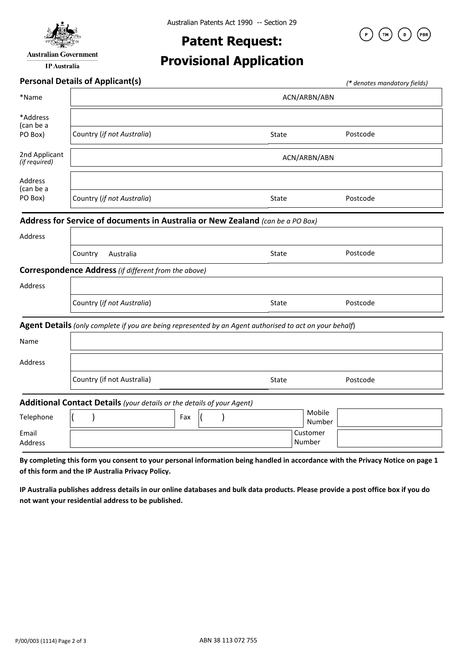

**Australian Government** 

**IP** Australia

# **Patent Request:**

PBR<sup>.</sup>

## **Provisional Application**

|                                | <b>Personal Details of Applicant(s)</b>                                                                 |     |  |  |  |       |                    |                  |          | (* denotes mandatory fields) |
|--------------------------------|---------------------------------------------------------------------------------------------------------|-----|--|--|--|-------|--------------------|------------------|----------|------------------------------|
| *Name                          | ACN/ARBN/ABN                                                                                            |     |  |  |  |       |                    |                  |          |                              |
| *Address<br>(can be a          |                                                                                                         |     |  |  |  |       |                    |                  |          |                              |
| PO Box)                        | Country (if not Australia)                                                                              |     |  |  |  | State |                    |                  | Postcode |                              |
| 2nd Applicant<br>(if required) | ACN/ARBN/ABN                                                                                            |     |  |  |  |       |                    |                  |          |                              |
| Address<br>(can be a           |                                                                                                         |     |  |  |  |       |                    |                  |          |                              |
| PO Box)                        | Country (if not Australia)                                                                              |     |  |  |  | State |                    |                  | Postcode |                              |
|                                | Address for Service of documents in Australia or New Zealand (can be a PO Box)                          |     |  |  |  |       |                    |                  |          |                              |
| Address                        |                                                                                                         |     |  |  |  |       |                    |                  |          |                              |
|                                | Country<br>Australia                                                                                    |     |  |  |  | State |                    |                  | Postcode |                              |
|                                | <b>Correspondence Address</b> (if different from the above)                                             |     |  |  |  |       |                    |                  |          |                              |
| Address                        |                                                                                                         |     |  |  |  |       |                    |                  |          |                              |
|                                | Country (if not Australia)                                                                              |     |  |  |  | State |                    |                  | Postcode |                              |
|                                | Agent Details (only complete if you are being represented by an Agent authorised to act on your behalf) |     |  |  |  |       |                    |                  |          |                              |
| Name                           |                                                                                                         |     |  |  |  |       |                    |                  |          |                              |
| Address                        |                                                                                                         |     |  |  |  |       |                    |                  |          |                              |
|                                | Country (if not Australia)                                                                              |     |  |  |  | State |                    |                  | Postcode |                              |
|                                | Additional Contact Details (your details or the details of your Agent)                                  |     |  |  |  |       |                    |                  |          |                              |
| Telephone                      |                                                                                                         | Fax |  |  |  |       |                    | Mobile<br>Number |          |                              |
| Email<br>Address               |                                                                                                         |     |  |  |  |       | Customer<br>Number |                  |          |                              |

**By completing this form you consent to your personal information being handled in accordance with the Privacy Notice on page 1 of this form and the IP Australia Privacy Policy.** 

**IP Australia publishes address details in our online databases and bulk data products. Please provide a post office box if you do not want your residential address to be published.**